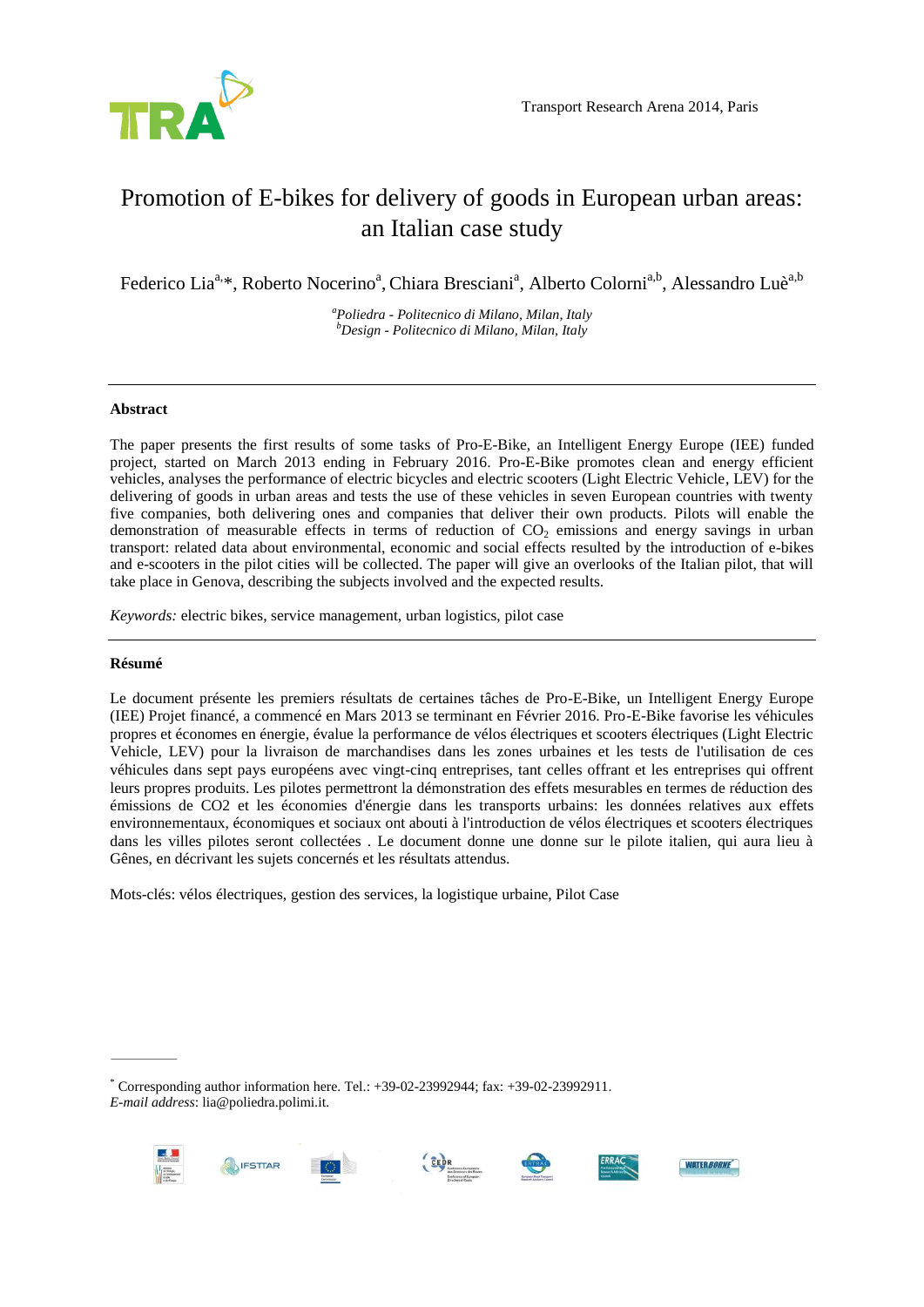

# Promotion of E-bikes for delivery of goods in European urban areas: an Italian case study

Federico Lia<sup>a,\*</sup>, Roberto Nocerino<sup>a</sup>, Chiara Bresciani<sup>a</sup>, Alberto Colorni<sup>a,b</sup>, Alessandro Luè<sup>a,b</sup>

*<sup>a</sup>Poliedra - Politecnico di Milano, Milan, Italy <sup>b</sup>Design - Politecnico di Milano, Milan, Italy*

# **Abstract**

The paper presents the first results of some tasks of Pro-E-Bike, an Intelligent Energy Europe (IEE) funded project, started on March 2013 ending in February 2016. Pro-E-Bike promotes clean and energy efficient vehicles, analyses the performance of electric bicycles and electric scooters (Light Electric Vehicle, LEV) for the delivering of goods in urban areas and tests the use of these vehicles in seven European countries with twenty five companies, both delivering ones and companies that deliver their own products. Pilots will enable the demonstration of measurable effects in terms of reduction of  $CO<sub>2</sub>$  emissions and energy savings in urban transport: related data about environmental, economic and social effects resulted by the introduction of e-bikes and e-scooters in the pilot cities will be collected. The paper will give an overlooks of the Italian pilot, that will take place in Genova, describing the subjects involved and the expected results.

*Keywords:* electric bikes, service management, urban logistics, pilot case

## **Résumé**

Le document présente les premiers résultats de certaines tâches de Pro-E-Bike, un Intelligent Energy Europe (IEE) Projet financé, a commencé en Mars 2013 se terminant en Février 2016. Pro-E-Bike favorise les véhicules propres et économes en énergie, évalue la performance de vélos électriques et scooters électriques (Light Electric Vehicle, LEV) pour la livraison de marchandises dans les zones urbaines et les tests de l'utilisation de ces véhicules dans sept pays européens avec vingt-cinq entreprises, tant celles offrant et les entreprises qui offrent leurs propres produits. Les pilotes permettront la démonstration des effets mesurables en termes de réduction des émissions de CO2 et les économies d'énergie dans les transports urbains: les données relatives aux effets environnementaux, économiques et sociaux ont abouti à l'introduction de vélos électriques et scooters électriques dans les villes pilotes seront collectées . Le document donne une donne sur le pilote italien, qui aura lieu à Gênes, en décrivant les sujets concernés et les résultats attendus.

Mots-clés: vélos électriques, gestion des services, la logistique urbaine, Pilot Case

 $*$  Corresponding author information here. Tel.:  $+39-02-23992944$ ; fax:  $+39-02-23992911$ . *E-mail address*: lia@poliedra.polimi.it.



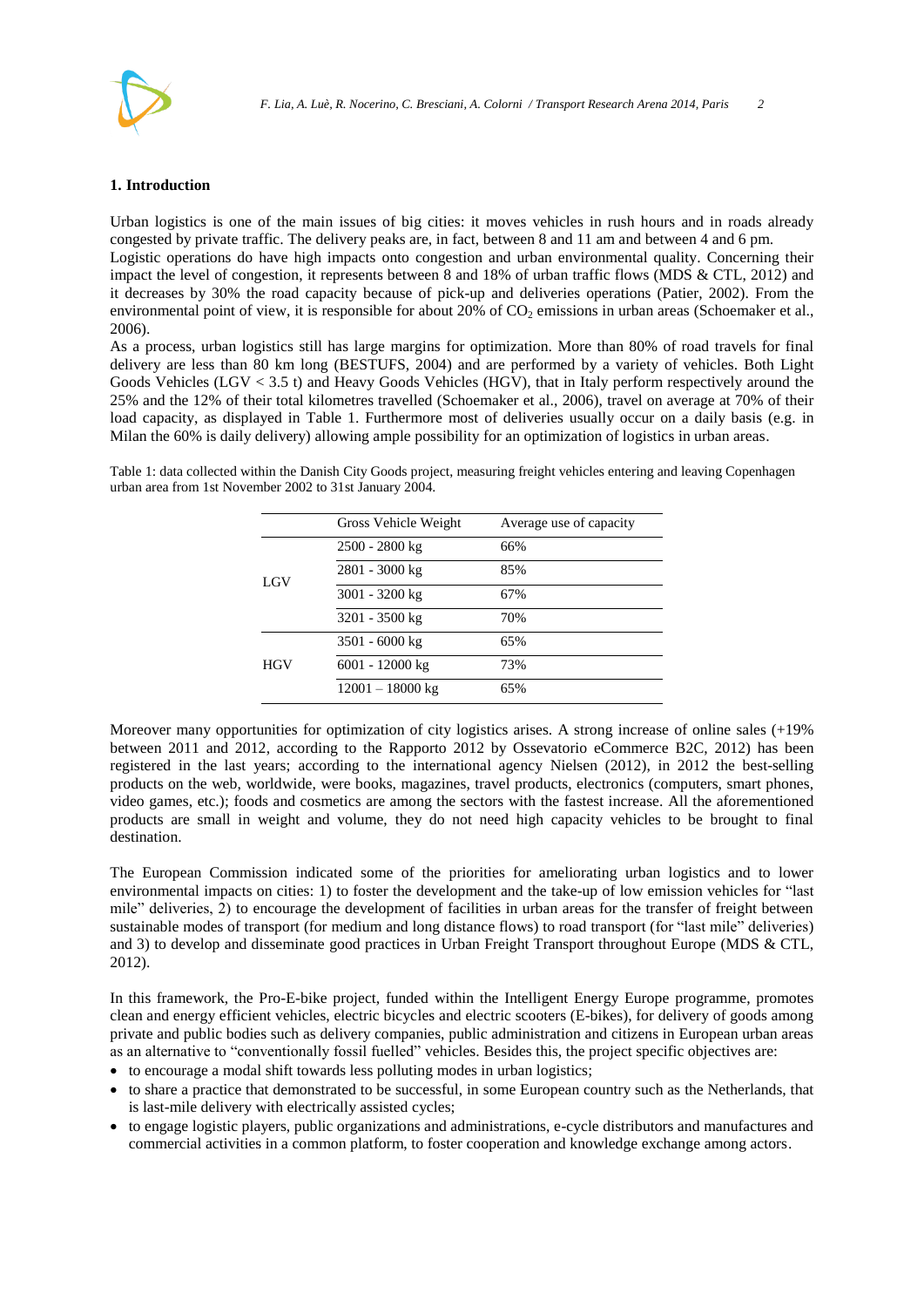

### **1. Introduction**

Urban logistics is one of the main issues of big cities: it moves vehicles in rush hours and in roads already congested by private traffic. The delivery peaks are, in fact, between 8 and 11 am and between 4 and 6 pm.

Logistic operations do have high impacts onto congestion and urban environmental quality. Concerning their impact the level of congestion, it represents between 8 and 18% of urban traffic flows (MDS & CTL, 2012) and it decreases by 30% the road capacity because of pick-up and deliveries operations (Patier, 2002). From the environmental point of view, it is responsible for about 20% of  $CO<sub>2</sub>$  emissions in urban areas (Schoemaker et al., 2006).

As a process, urban logistics still has large margins for optimization. More than 80% of road travels for final delivery are less than 80 km long (BESTUFS, 2004) and are performed by a variety of vehicles. Both Light Goods Vehicles (LGV < 3.5 t) and Heavy Goods Vehicles (HGV), that in Italy perform respectively around the 25% and the 12% of their total kilometres travelled (Schoemaker et al., 2006), travel on average at 70% of their load capacity, as displayed in [Table 1.](#page-1-0) Furthermore most of deliveries usually occur on a daily basis (e.g. in Milan the 60% is daily delivery) allowing ample possibility for an optimization of logistics in urban areas.

<span id="page-1-0"></span>Table 1: data collected within the Danish City Goods project, measuring freight vehicles entering and leaving Copenhagen urban area from 1st November 2002 to 31st January 2004.

|            | Gross Vehicle Weight | Average use of capacity |
|------------|----------------------|-------------------------|
| LGV        | 2500 - 2800 kg       | 66%                     |
|            | 2801 - 3000 kg       | 85%                     |
|            | 3001 - 3200 kg       | 67%                     |
|            | 3201 - 3500 kg       | 70%                     |
| <b>HGV</b> | 3501 - 6000 kg       | 65%                     |
|            | 6001 - 12000 kg      | 73%                     |
|            | $12001 - 18000$ kg   | 65%                     |

Moreover many opportunities for optimization of city logistics arises. A strong increase of online sales (+19% between 2011 and 2012, according to the Rapporto 2012 by Ossevatorio eCommerce B2C, 2012) has been registered in the last years; according to the international agency Nielsen (2012), in 2012 the best-selling products on the web, worldwide, were books, magazines, travel products, electronics (computers, smart phones, video games, etc.); foods and cosmetics are among the sectors with the fastest increase. All the aforementioned products are small in weight and volume, they do not need high capacity vehicles to be brought to final destination.

The European Commission indicated some of the priorities for ameliorating urban logistics and to lower environmental impacts on cities: 1) to foster the development and the take-up of low emission vehicles for "last mile" deliveries, 2) to encourage the development of facilities in urban areas for the transfer of freight between sustainable modes of transport (for medium and long distance flows) to road transport (for "last mile" deliveries) and 3) to develop and disseminate good practices in Urban Freight Transport throughout Europe (MDS & CTL, 2012).

In this framework, the Pro-E-bike project, funded within the Intelligent Energy Europe programme, promotes clean and energy efficient vehicles, electric bicycles and electric scooters (E-bikes), for delivery of goods among private and public bodies such as delivery companies, public administration and citizens in European urban areas as an alternative to "conventionally fossil fuelled" vehicles. Besides this, the project specific objectives are:

- to encourage a modal shift towards less polluting modes in urban logistics;
- to share a practice that demonstrated to be successful, in some European country such as the Netherlands, that is last-mile delivery with electrically assisted cycles;
- to engage logistic players, public organizations and administrations, e-cycle distributors and manufactures and commercial activities in a common platform, to foster cooperation and knowledge exchange among actors.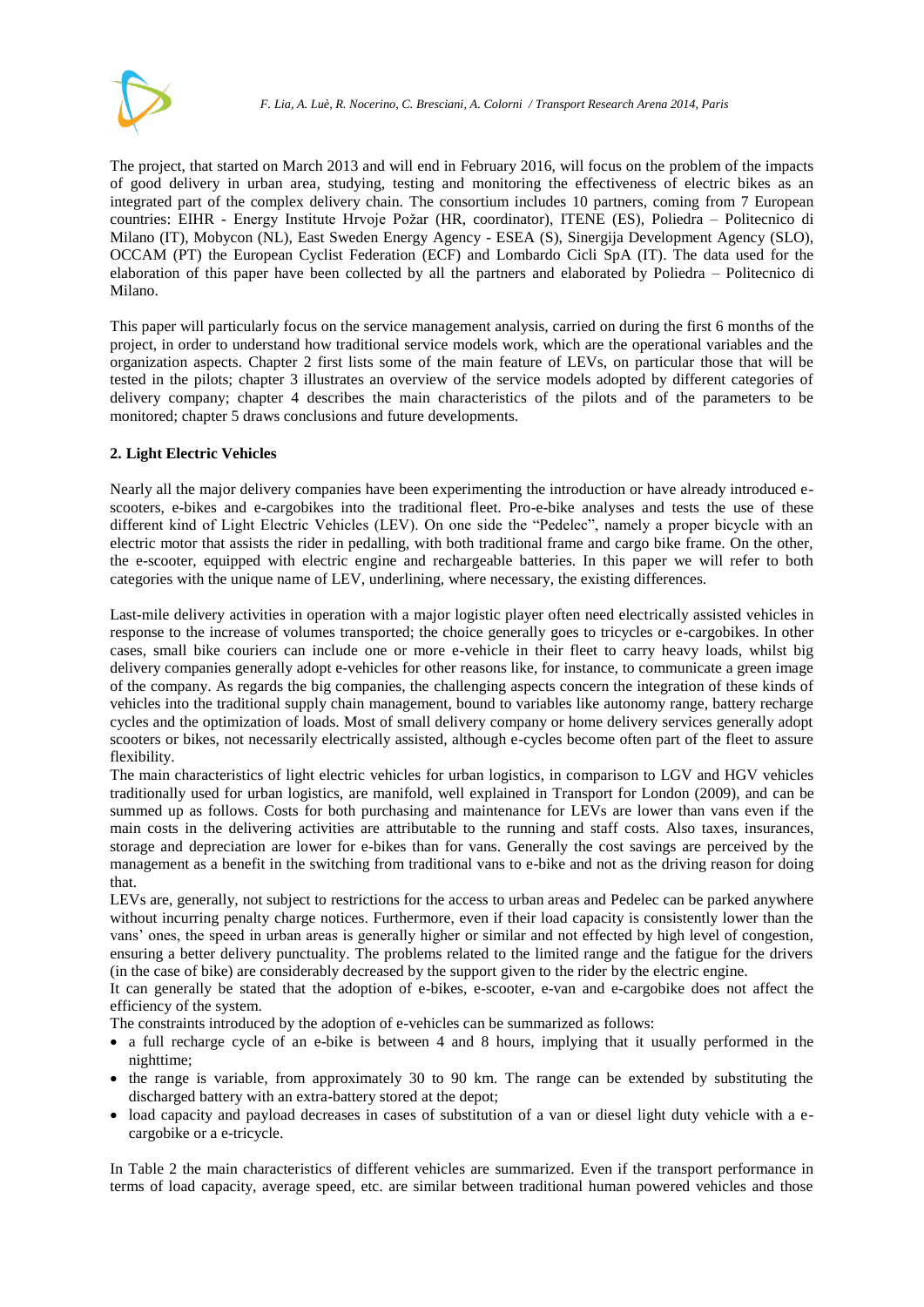

The project, that started on March 2013 and will end in February 2016, will focus on the problem of the impacts of good delivery in urban area, studying, testing and monitoring the effectiveness of electric bikes as an integrated part of the complex delivery chain. The consortium includes 10 partners, coming from 7 European countries: EIHR - Energy Institute Hrvoje Požar (HR, coordinator), ITENE (ES), Poliedra – Politecnico di Milano (IT), Mobycon (NL), East Sweden Energy Agency - ESEA (S), Sinergija Development Agency (SLO), OCCAM (PT) the European Cyclist Federation (ECF) and Lombardo Cicli SpA (IT). The data used for the elaboration of this paper have been collected by all the partners and elaborated by Poliedra – Politecnico di Milano.

This paper will particularly focus on the service management analysis, carried on during the first 6 months of the project, in order to understand how traditional service models work, which are the operational variables and the organization aspects. Chapter 2 first lists some of the main feature of LEVs, on particular those that will be tested in the pilots; chapter 3 illustrates an overview of the service models adopted by different categories of delivery company; chapter 4 describes the main characteristics of the pilots and of the parameters to be monitored; chapter 5 draws conclusions and future developments.

# **2. Light Electric Vehicles**

Nearly all the major delivery companies have been experimenting the introduction or have already introduced escooters, e-bikes and e-cargobikes into the traditional fleet. Pro-e-bike analyses and tests the use of these different kind of Light Electric Vehicles (LEV). On one side the "Pedelec", namely a proper bicycle with an electric motor that assists the rider in pedalling, with both traditional frame and cargo bike frame. On the other, the e-scooter, equipped with electric engine and rechargeable batteries. In this paper we will refer to both categories with the unique name of LEV, underlining, where necessary, the existing differences.

Last-mile delivery activities in operation with a major logistic player often need electrically assisted vehicles in response to the increase of volumes transported; the choice generally goes to tricycles or e-cargobikes. In other cases, small bike couriers can include one or more e-vehicle in their fleet to carry heavy loads, whilst big delivery companies generally adopt e-vehicles for other reasons like, for instance, to communicate a green image of the company. As regards the big companies, the challenging aspects concern the integration of these kinds of vehicles into the traditional supply chain management, bound to variables like autonomy range, battery recharge cycles and the optimization of loads. Most of small delivery company or home delivery services generally adopt scooters or bikes, not necessarily electrically assisted, although e-cycles become often part of the fleet to assure flexibility.

The main characteristics of light electric vehicles for urban logistics, in comparison to LGV and HGV vehicles traditionally used for urban logistics, are manifold, well explained in Transport for London (2009), and can be summed up as follows. Costs for both purchasing and maintenance for LEVs are lower than vans even if the main costs in the delivering activities are attributable to the running and staff costs. Also taxes, insurances, storage and depreciation are lower for e-bikes than for vans. Generally the cost savings are perceived by the management as a benefit in the switching from traditional vans to e-bike and not as the driving reason for doing that.

LEVs are, generally, not subject to restrictions for the access to urban areas and Pedelec can be parked anywhere without incurring penalty charge notices. Furthermore, even if their load capacity is consistently lower than the vans' ones, the speed in urban areas is generally higher or similar and not effected by high level of congestion, ensuring a better delivery punctuality. The problems related to the limited range and the fatigue for the drivers (in the case of bike) are considerably decreased by the support given to the rider by the electric engine.

It can generally be stated that the adoption of e-bikes, e-scooter, e-van and e-cargobike does not affect the efficiency of the system.

The constraints introduced by the adoption of e-vehicles can be summarized as follows:

- a full recharge cycle of an e-bike is between 4 and 8 hours, implying that it usually performed in the nighttime;
- the range is variable, from approximately 30 to 90 km. The range can be extended by substituting the discharged battery with an extra-battery stored at the depot;
- load capacity and payload decreases in cases of substitution of a van or diesel light duty vehicle with a ecargobike or a e-tricycle.

In [Table 2](#page-3-0) the main characteristics of different vehicles are summarized. Even if the transport performance in terms of load capacity, average speed, etc. are similar between traditional human powered vehicles and those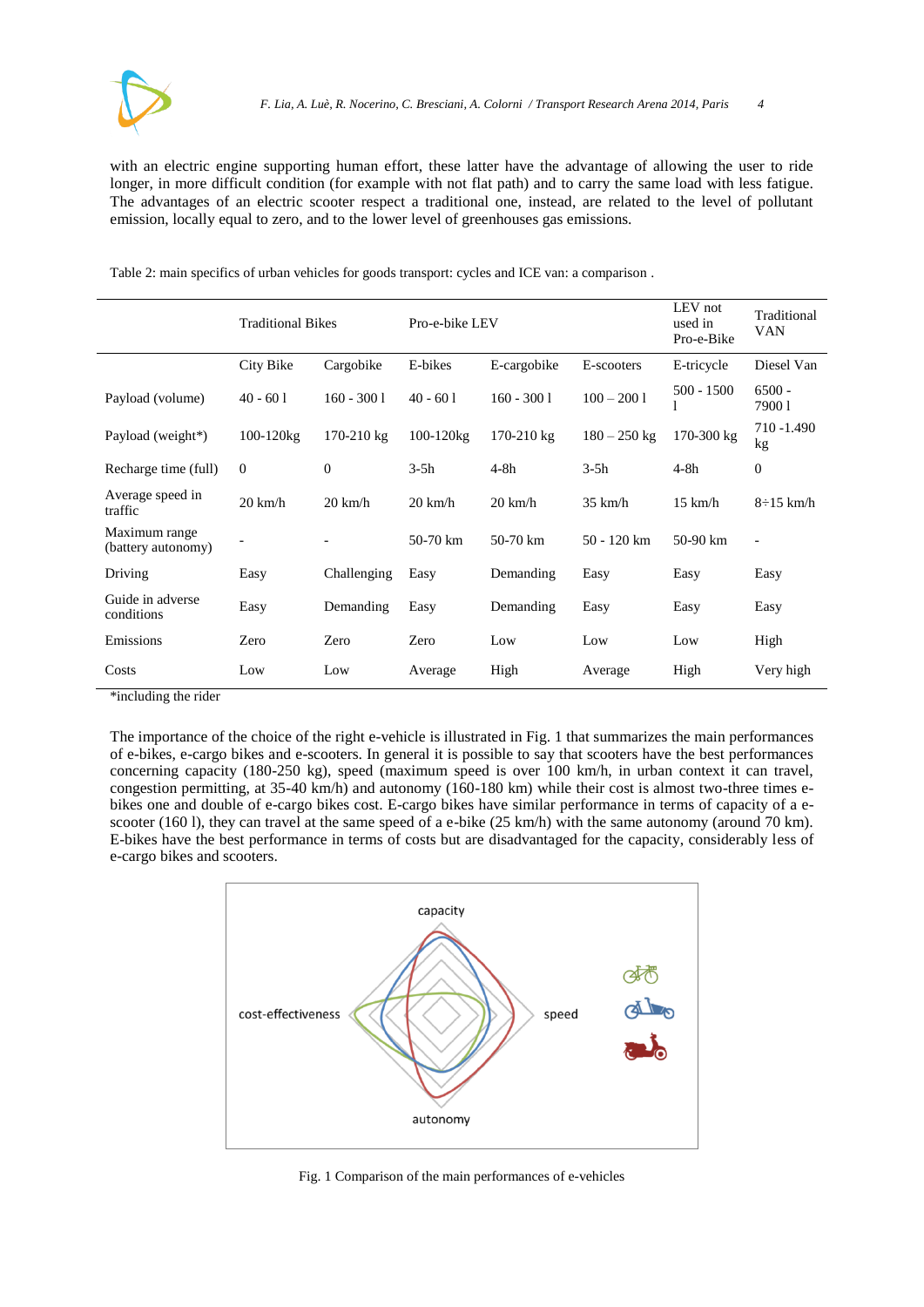with an electric engine supporting human effort, these latter have the advantage of allowing the user to ride longer, in more difficult condition (for example with not flat path) and to carry the same load with less fatigue. The advantages of an electric scooter respect a traditional one, instead, are related to the level of pollutant emission, locally equal to zero, and to the lower level of greenhouses gas emissions.

<span id="page-3-0"></span>Table 2: main specifics of urban vehicles for goods transport: cycles and ICE van: a comparison .

|                                     | <b>Traditional Bikes</b> |                   | Pro-e-bike LEV     |                   |                   | LEV not<br>used in<br>Pro-e-Bike | Traditional<br>VAN       |
|-------------------------------------|--------------------------|-------------------|--------------------|-------------------|-------------------|----------------------------------|--------------------------|
|                                     | City Bike                | Cargobike         | E-bikes            | E-cargobike       | E-scooters        | E-tricycle                       | Diesel Van               |
| Payload (volume)                    | $40 - 601$               | $160 - 3001$      | $40 - 601$         | $160 - 3001$      | $100 - 2001$      | $500 - 1500$                     | $6500 -$<br>79001        |
| Payload (weight*)                   | $100 - 120$ kg           | $170-210$ kg      | 100-120kg          | 170-210 kg        | $180 - 250$ kg    | 170-300 kg                       | 710 - 1.490<br>kg        |
| Recharge time (full)                | $\overline{0}$           | $\Omega$          | $3-5h$             | $4-8h$            | $3-5h$            | $4-8h$                           | $\theta$                 |
| Average speed in<br>traffic         | $20 \text{ km/h}$        | $20 \text{ km/h}$ | $20 \text{ km/h}$  | $20 \text{ km/h}$ | $35 \text{ km/h}$ | $15 \text{ km/h}$                | $8\div 15$ km/h          |
| Maximum range<br>(battery autonomy) | -                        |                   | $50-70 \text{ km}$ | 50-70 km          | 50 - 120 km       | $50-90$ km                       | $\overline{\phantom{a}}$ |
| Driving                             | Easy                     | Challenging       | Easy               | Demanding         | Easy              | Easy                             | Easy                     |
| Guide in adverse<br>conditions      | Easy                     | Demanding         | Easy               | Demanding         | Easy              | Easy                             | Easy                     |
| Emissions                           | Zero                     | Zero              | Zero               | Low               | Low               | Low                              | High                     |
| Costs                               | Low                      | Low               | Average            | High              | Average           | High                             | Very high                |

\*including the rider

The importance of the choice of the right e-vehicle is illustrated in [Fig.](#page-3-1) 1 that summarizes the main performances of e-bikes, e-cargo bikes and e-scooters. In general it is possible to say that scooters have the best performances concerning capacity (180-250 kg), speed (maximum speed is over 100 km/h, in urban context it can travel, congestion permitting, at 35-40 km/h) and autonomy (160-180 km) while their cost is almost two-three times ebikes one and double of e-cargo bikes cost. E-cargo bikes have similar performance in terms of capacity of a escooter (160 l), they can travel at the same speed of a e-bike (25 km/h) with the same autonomy (around 70 km). E-bikes have the best performance in terms of costs but are disadvantaged for the capacity, considerably less of e-cargo bikes and scooters.



<span id="page-3-1"></span>Fig. 1 Comparison of the main performances of e-vehicles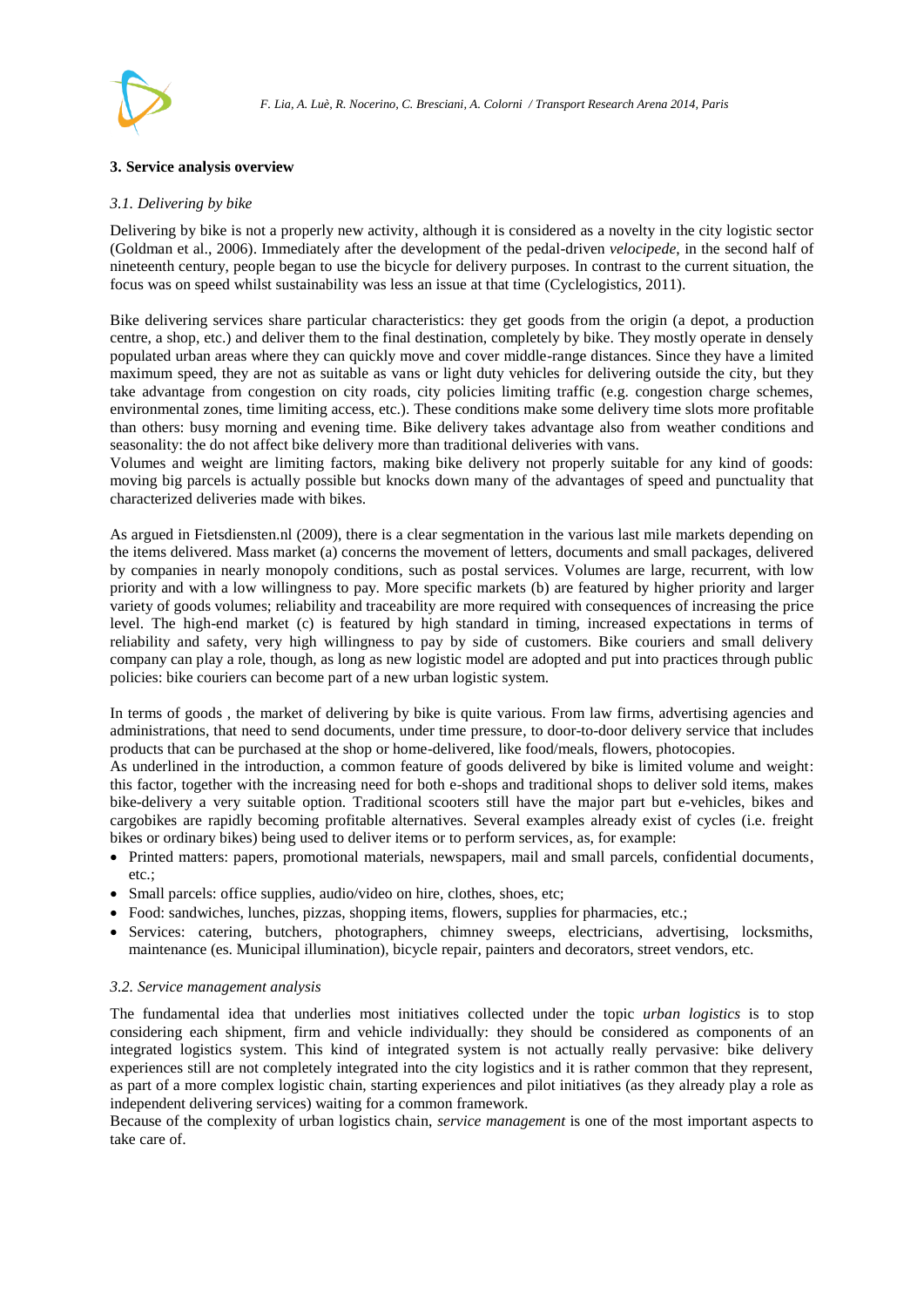

## **3. Service analysis overview**

#### *3.1. Delivering by bike*

Delivering by bike is not a properly new activity, although it is considered as a novelty in the city logistic sector (Goldman et al., 2006). Immediately after the development of the pedal-driven *velocipede*, in the second half of nineteenth century, people began to use the bicycle for delivery purposes. In contrast to the current situation, the focus was on speed whilst sustainability was less an issue at that time (Cyclelogistics, 2011).

Bike delivering services share particular characteristics: they get goods from the origin (a depot, a production centre, a shop, etc.) and deliver them to the final destination, completely by bike. They mostly operate in densely populated urban areas where they can quickly move and cover middle-range distances. Since they have a limited maximum speed, they are not as suitable as vans or light duty vehicles for delivering outside the city, but they take advantage from congestion on city roads, city policies limiting traffic (e.g. congestion charge schemes, environmental zones, time limiting access, etc.). These conditions make some delivery time slots more profitable than others: busy morning and evening time. Bike delivery takes advantage also from weather conditions and seasonality: the do not affect bike delivery more than traditional deliveries with vans.

Volumes and weight are limiting factors, making bike delivery not properly suitable for any kind of goods: moving big parcels is actually possible but knocks down many of the advantages of speed and punctuality that characterized deliveries made with bikes.

As argued in Fietsdiensten.nl (2009), there is a clear segmentation in the various last mile markets depending on the items delivered. Mass market (a) concerns the movement of letters, documents and small packages, delivered by companies in nearly monopoly conditions, such as postal services. Volumes are large, recurrent, with low priority and with a low willingness to pay. More specific markets (b) are featured by higher priority and larger variety of goods volumes; reliability and traceability are more required with consequences of increasing the price level. The high-end market (c) is featured by high standard in timing, increased expectations in terms of reliability and safety, very high willingness to pay by side of customers. Bike couriers and small delivery company can play a role, though, as long as new logistic model are adopted and put into practices through public policies: bike couriers can become part of a new urban logistic system.

In terms of goods , the market of delivering by bike is quite various. From law firms, advertising agencies and administrations, that need to send documents, under time pressure, to door-to-door delivery service that includes products that can be purchased at the shop or home-delivered, like food/meals, flowers, photocopies.

As underlined in the introduction, a common feature of goods delivered by bike is limited volume and weight: this factor, together with the increasing need for both e-shops and traditional shops to deliver sold items, makes bike-delivery a very suitable option. Traditional scooters still have the major part but e-vehicles, bikes and cargobikes are rapidly becoming profitable alternatives. Several examples already exist of cycles (i.e. freight bikes or ordinary bikes) being used to deliver items or to perform services, as, for example:

- Printed matters: papers, promotional materials, newspapers, mail and small parcels, confidential documents, etc.;
- Small parcels: office supplies, audio/video on hire, clothes, shoes, etc;
- Food: sandwiches, lunches, pizzas, shopping items, flowers, supplies for pharmacies, etc.;
- Services: catering, butchers, photographers, chimney sweeps, electricians, advertising, locksmiths, maintenance (es. Municipal illumination), bicycle repair, painters and decorators, street vendors, etc.

#### *3.2. Service management analysis*

The fundamental idea that underlies most initiatives collected under the topic *urban logistics* is to stop considering each shipment, firm and vehicle individually: they should be considered as components of an integrated logistics system. This kind of integrated system is not actually really pervasive: bike delivery experiences still are not completely integrated into the city logistics and it is rather common that they represent, as part of a more complex logistic chain, starting experiences and pilot initiatives (as they already play a role as independent delivering services) waiting for a common framework.

Because of the complexity of urban logistics chain, *service management* is one of the most important aspects to take care of.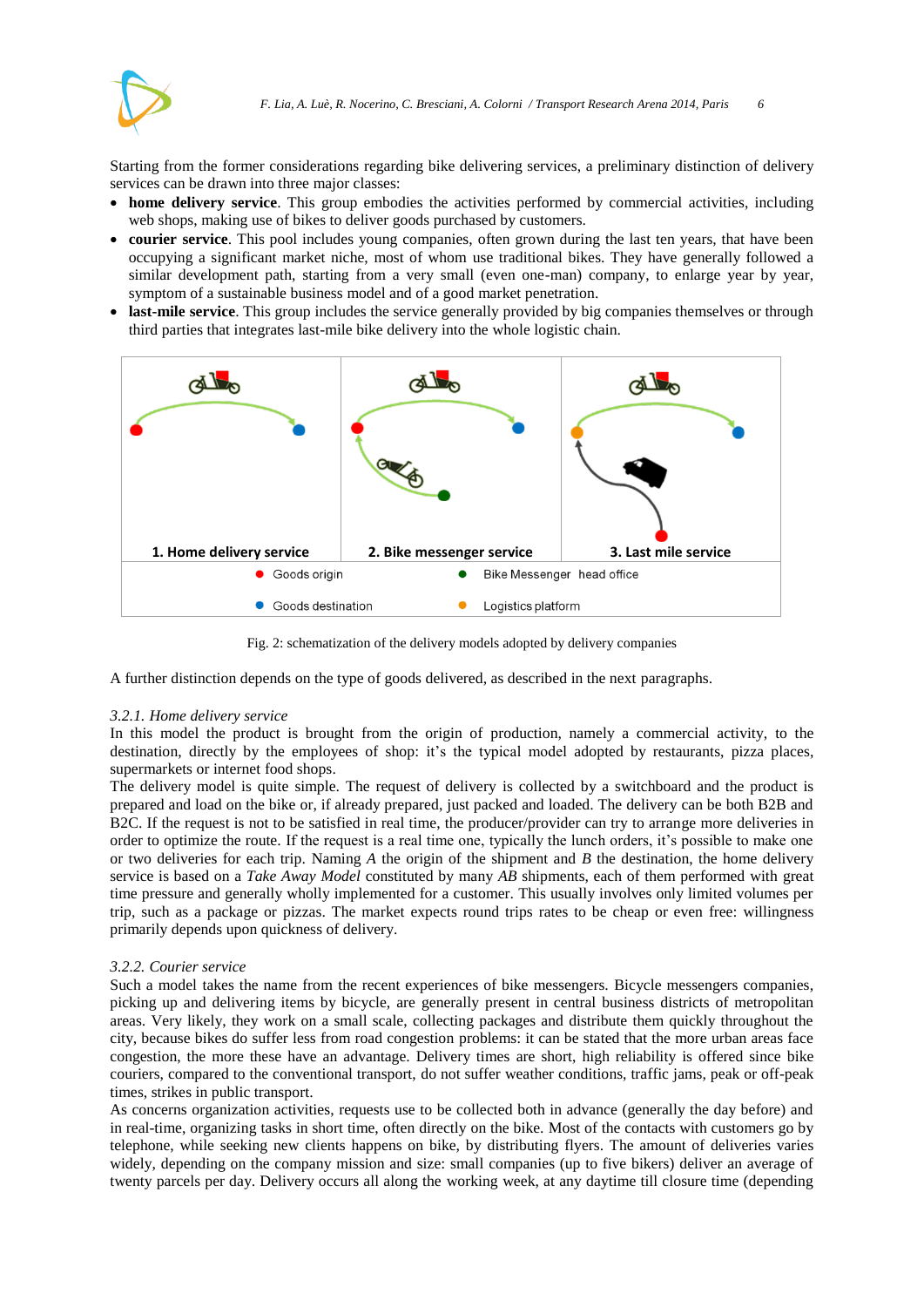

Starting from the former considerations regarding bike delivering services, a preliminary distinction of delivery services can be drawn into three major classes:

- **home delivery service**. This group embodies the activities performed by commercial activities, including web shops, making use of bikes to deliver goods purchased by customers.
- **courier service**. This pool includes young companies, often grown during the last ten years, that have been occupying a significant market niche, most of whom use traditional bikes. They have generally followed a similar development path, starting from a very small (even one-man) company, to enlarge year by year, symptom of a sustainable business model and of a good market penetration.
- **last-mile service**. This group includes the service generally provided by big companies themselves or through third parties that integrates last-mile bike delivery into the whole logistic chain.



Fig. 2: schematization of the delivery models adopted by delivery companies

A further distinction depends on the type of goods delivered, as described in the next paragraphs.

#### *3.2.1. Home delivery service*

In this model the product is brought from the origin of production, namely a commercial activity, to the destination, directly by the employees of shop: it's the typical model adopted by restaurants, pizza places, supermarkets or internet food shops.

The delivery model is quite simple. The request of delivery is collected by a switchboard and the product is prepared and load on the bike or, if already prepared, just packed and loaded. The delivery can be both B2B and B2C. If the request is not to be satisfied in real time, the producer/provider can try to arrange more deliveries in order to optimize the route. If the request is a real time one, typically the lunch orders, it's possible to make one or two deliveries for each trip. Naming *A* the origin of the shipment and *B* the destination, the home delivery service is based on a *Take Away Model* constituted by many *AB* shipments, each of them performed with great time pressure and generally wholly implemented for a customer. This usually involves only limited volumes per trip, such as a package or pizzas. The market expects round trips rates to be cheap or even free: willingness primarily depends upon quickness of delivery.

#### *3.2.2. Courier service*

Such a model takes the name from the recent experiences of bike messengers. Bicycle messengers companies, picking up and delivering items by bicycle, are generally present in central business districts of metropolitan areas. Very likely, they work on a small scale, collecting packages and distribute them quickly throughout the city, because bikes do suffer less from road congestion problems: it can be stated that the more urban areas face congestion, the more these have an advantage. Delivery times are short, high reliability is offered since bike couriers, compared to the conventional transport, do not suffer weather conditions, traffic jams, peak or off-peak times, strikes in public transport.

As concerns organization activities, requests use to be collected both in advance (generally the day before) and in real-time, organizing tasks in short time, often directly on the bike. Most of the contacts with customers go by telephone, while seeking new clients happens on bike, by distributing flyers. The amount of deliveries varies widely, depending on the company mission and size: small companies (up to five bikers) deliver an average of twenty parcels per day. Delivery occurs all along the working week, at any daytime till closure time (depending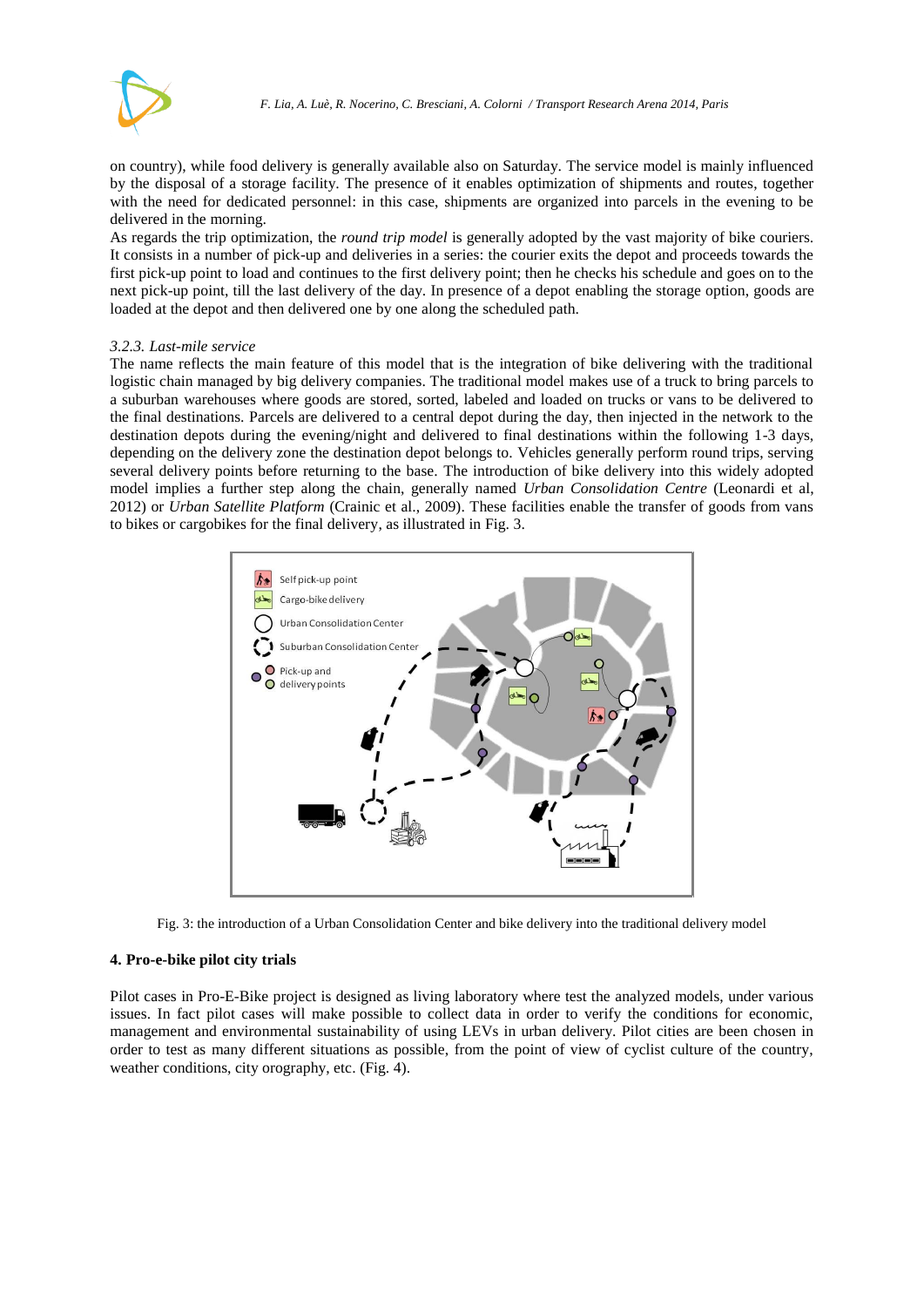

on country), while food delivery is generally available also on Saturday. The service model is mainly influenced by the disposal of a storage facility. The presence of it enables optimization of shipments and routes, together with the need for dedicated personnel: in this case, shipments are organized into parcels in the evening to be delivered in the morning.

As regards the trip optimization, the *round trip model* is generally adopted by the vast majority of bike couriers. It consists in a number of pick-up and deliveries in a series: the courier exits the depot and proceeds towards the first pick-up point to load and continues to the first delivery point; then he checks his schedule and goes on to the next pick-up point, till the last delivery of the day. In presence of a depot enabling the storage option, goods are loaded at the depot and then delivered one by one along the scheduled path.

## *3.2.3. Last-mile service*

The name reflects the main feature of this model that is the integration of bike delivering with the traditional logistic chain managed by big delivery companies. The traditional model makes use of a truck to bring parcels to a suburban warehouses where goods are stored, sorted, labeled and loaded on trucks or vans to be delivered to the final destinations. Parcels are delivered to a central depot during the day, then injected in the network to the destination depots during the evening/night and delivered to final destinations within the following 1-3 days, depending on the delivery zone the destination depot belongs to. Vehicles generally perform round trips, serving several delivery points before returning to the base. The introduction of bike delivery into this widely adopted model implies a further step along the chain, generally named *Urban Consolidation Centre* (Leonardi et al, 2012) or *Urban Satellite Platform* (Crainic et al., 2009). These facilities enable the transfer of goods from vans to bikes or cargobikes for the final delivery, as illustrated i[n Fig. 3.](#page-6-0)



Fig. 3: the introduction of a Urban Consolidation Center and bike delivery into the traditional delivery model

## <span id="page-6-0"></span>**4. Pro-e-bike pilot city trials**

Pilot cases in Pro-E-Bike project is designed as living laboratory where test the analyzed models, under various issues. In fact pilot cases will make possible to collect data in order to verify the conditions for economic, management and environmental sustainability of using LEVs in urban delivery. Pilot cities are been chosen in order to test as many different situations as possible, from the point of view of cyclist culture of the country, weather conditions, city orography, etc. [\(Fig. 4\)](#page-7-0).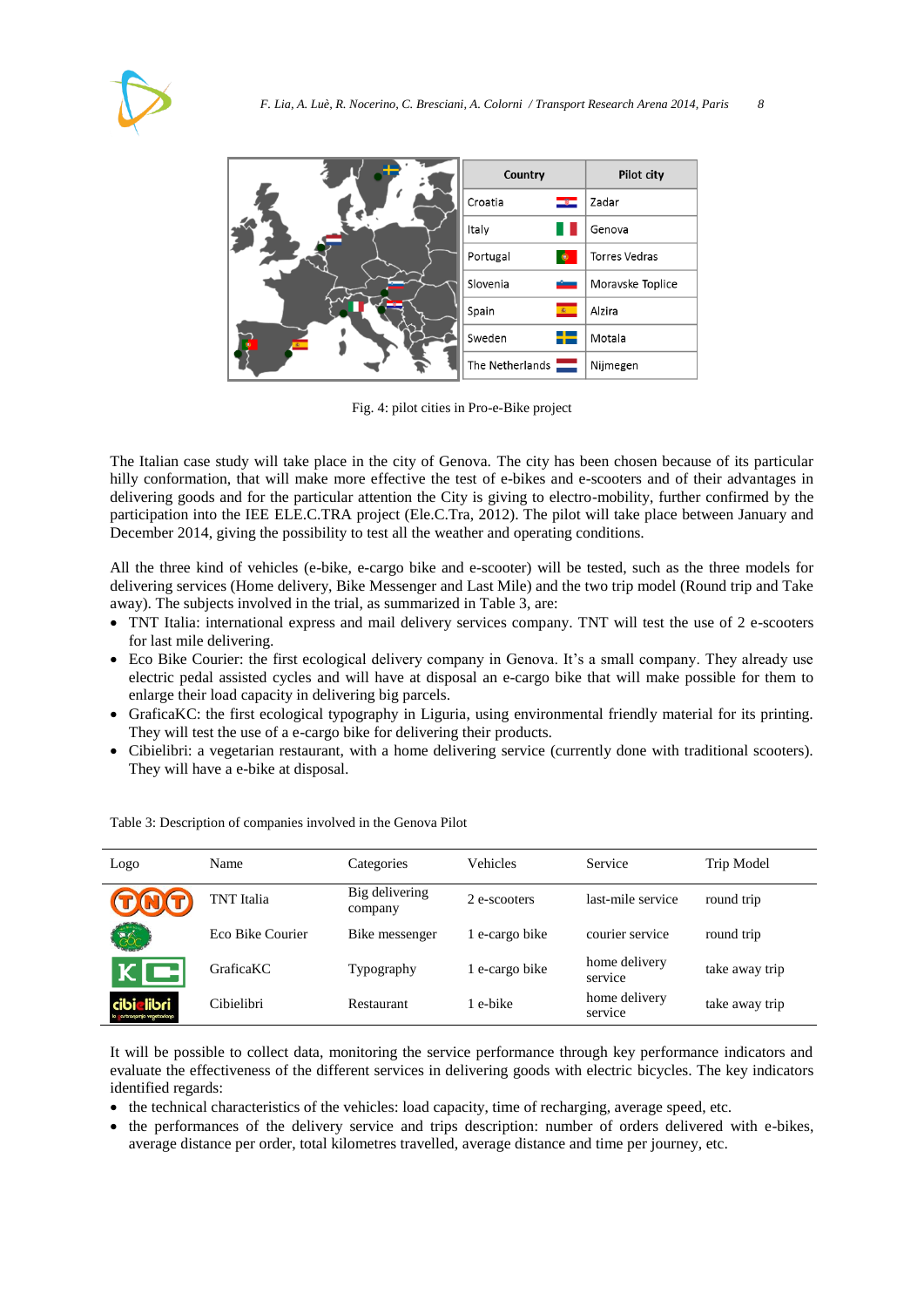



Fig. 4: pilot cities in Pro-e-Bike project

<span id="page-7-0"></span>The Italian case study will take place in the city of Genova. The city has been chosen because of its particular hilly conformation, that will make more effective the test of e-bikes and e-scooters and of their advantages in delivering goods and for the particular attention the City is giving to electro-mobility, further confirmed by the participation into the IEE ELE.C.TRA project (Ele.C.Tra, 2012). The pilot will take place between January and December 2014, giving the possibility to test all the weather and operating conditions.

All the three kind of vehicles (e-bike, e-cargo bike and e-scooter) will be tested, such as the three models for delivering services (Home delivery, Bike Messenger and Last Mile) and the two trip model (Round trip and Take away). The subjects involved in the trial, as summarized in [Table 3,](#page-7-1) are:

- TNT Italia: international express and mail delivery services company. TNT will test the use of 2 e-scooters for last mile delivering.
- Eco Bike Courier: the first ecological delivery company in Genova. It's a small company. They already use electric pedal assisted cycles and will have at disposal an e-cargo bike that will make possible for them to enlarge their load capacity in delivering big parcels.
- GraficaKC: the first ecological typography in Liguria, using environmental friendly material for its printing. They will test the use of a e-cargo bike for delivering their products.
- Cibielibri: a vegetarian restaurant, with a home delivering service (currently done with traditional scooters). They will have a e-bike at disposal.

| Logo                                           | Name             | Categories                | Vehicles       | Service                  | Trip Model     |
|------------------------------------------------|------------------|---------------------------|----------------|--------------------------|----------------|
|                                                | TNT Italia       | Big delivering<br>company | 2 e-scooters   | last-mile service        | round trip     |
| $\partial^2C$                                  | Eco Bike Courier | Bike messenger            | e-cargo bike   | courier service          | round trip     |
| $K$ $\Box$                                     | <b>GraficaKC</b> | Typography                | 1 e-cargo bike | home delivery<br>service | take away trip |
| <b>cibialibri</b><br>la artronomia vegetariana | Cibielibri       | <b>Restaurant</b>         | 1 e-bike       | home delivery<br>service | take away trip |

<span id="page-7-1"></span>Table 3: Description of companies involved in the Genova Pilot

It will be possible to collect data, monitoring the service performance through key performance indicators and evaluate the effectiveness of the different services in delivering goods with electric bicycles. The key indicators identified regards:

- the technical characteristics of the vehicles: load capacity, time of recharging, average speed, etc.
- the performances of the delivery service and trips description: number of orders delivered with e-bikes, average distance per order, total kilometres travelled, average distance and time per journey, etc.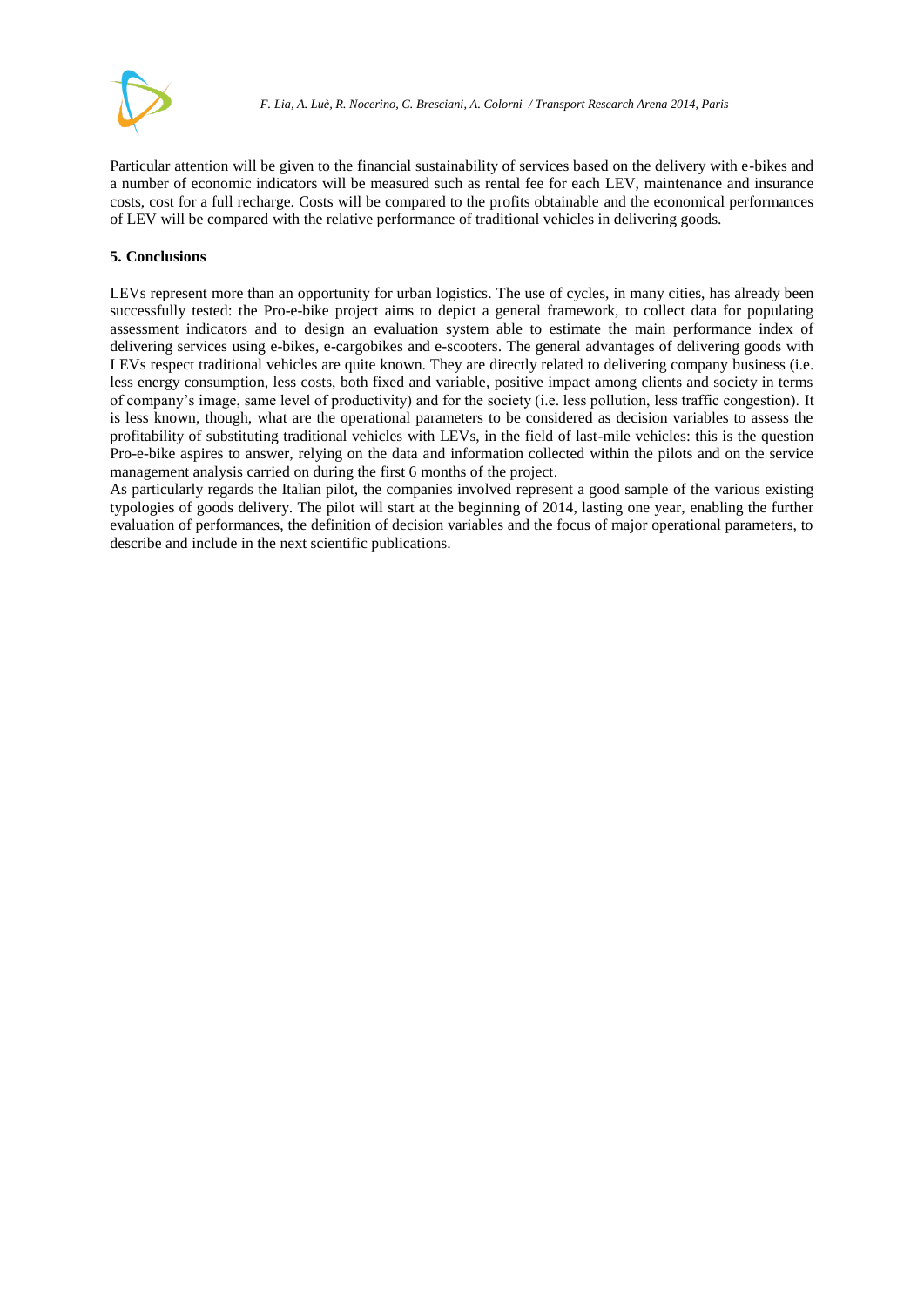

Particular attention will be given to the financial sustainability of services based on the delivery with e-bikes and a number of economic indicators will be measured such as rental fee for each LEV, maintenance and insurance costs, cost for a full recharge. Costs will be compared to the profits obtainable and the economical performances of LEV will be compared with the relative performance of traditional vehicles in delivering goods.

# **5. Conclusions**

LEVs represent more than an opportunity for urban logistics. The use of cycles, in many cities, has already been successfully tested: the Pro-e-bike project aims to depict a general framework, to collect data for populating assessment indicators and to design an evaluation system able to estimate the main performance index of delivering services using e-bikes, e-cargobikes and e-scooters. The general advantages of delivering goods with LEVs respect traditional vehicles are quite known. They are directly related to delivering company business (i.e. less energy consumption, less costs, both fixed and variable, positive impact among clients and society in terms of company's image, same level of productivity) and for the society (i.e. less pollution, less traffic congestion). It is less known, though, what are the operational parameters to be considered as decision variables to assess the profitability of substituting traditional vehicles with LEVs, in the field of last-mile vehicles: this is the question Pro-e-bike aspires to answer, relying on the data and information collected within the pilots and on the service management analysis carried on during the first 6 months of the project.

As particularly regards the Italian pilot, the companies involved represent a good sample of the various existing typologies of goods delivery. The pilot will start at the beginning of 2014, lasting one year, enabling the further evaluation of performances, the definition of decision variables and the focus of major operational parameters, to describe and include in the next scientific publications.